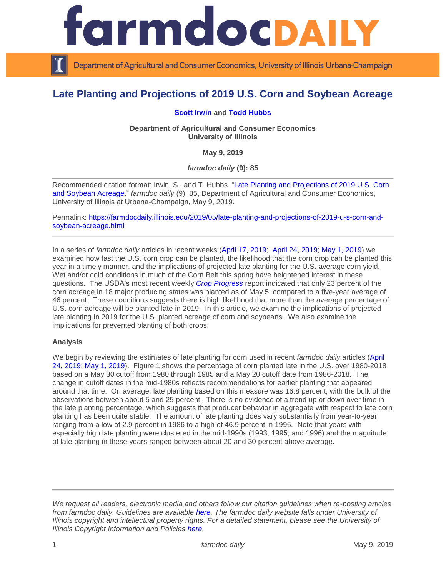

Department of Agricultural and Consumer Economics, University of Illinois Urbana-Champaign

# **Late Planting and Projections of 2019 U.S. Corn and Soybean Acreage**

## **[Scott Irwin](http://www.farmdoc.illinois.edu/irwin/) and [Todd Hubbs](https://ace.illinois.edu/directory/jhubbs3)**

**Department of Agricultural and Consumer Economics University of Illinois**

**May 9, 2019**

*farmdoc daily* **(9): 85**

Recommended citation format: Irwin, S., and T. Hubbs. ["Late Planting and Projections of 2019 U.S. Corn](https://farmdocdaily.illinois.edu/2019/05/late-planting-and-projections-of-2019-u-s-corn-and-soybean-acreage.html)  [and Soybean Acreage.](https://farmdocdaily.illinois.edu/2019/05/late-planting-and-projections-of-2019-u-s-corn-and-soybean-acreage.html)" *farmdoc daily* (9): 85, Department of Agricultural and Consumer Economics, University of Illinois at Urbana-Champaign, May 9, 2019.

Permalink: [https://farmdocdaily.illinois.edu/2019/05/late-planting-and-projections-of-2019-u-s-corn-and](https://farmdocdaily.illinois.edu/2019/05/late-planting-and-projections-of-2019-u-s-corn-and-soybean-acreage.html)[soybean-acreage.html](https://farmdocdaily.illinois.edu/2019/05/late-planting-and-projections-of-2019-u-s-corn-and-soybean-acreage.html)

In a series of *farmdoc daily* articles in recent weeks [\(April 17, 2019;](https://farmdocdaily.illinois.edu/2019/04/here-we-go-again-how-many-days-does-it-take-to-plant-the-u-s-corn-crop.html) [April 24, 2019;](https://farmdocdaily.illinois.edu/2019/04/prospects-for-timely-planting-of-the-2019-corn-crop.html) [May 1, 2019\)](https://farmdocdaily.illinois.edu/2019/05/late-planting-and-projections-of-the-2019-us-corn-yield.html) we examined how fast the U.S. corn crop can be planted, the likelihood that the corn crop can be planted this year in a timely manner, and the implications of projected late planting for the U.S. average corn yield. Wet and/or cold conditions in much of the Corn Belt this spring have heightened interest in these questions. The USDA's most recent weekly *[Crop Progress](https://downloads.usda.library.cornell.edu/usda-esmis/files/8336h188j/4q77g074g/gt54kw87c/prog1819.pdf)* report indicated that only 23 percent of the corn acreage in 18 major producing states was planted as of May 5, compared to a five-year average of 46 percent. These conditions suggests there is high likelihood that more than the average percentage of U.S. corn acreage will be planted late in 2019. In this article, we examine the implications of projected late planting in 2019 for the U.S. planted acreage of corn and soybeans. We also examine the implications for prevented planting of both crops.

#### **Analysis**

We begin by reviewing the estimates of late planting for corn used in recent *farmdoc daily* articles [\(April](https://farmdocdaily.illinois.edu/2019/04/prospects-for-timely-planting-of-the-2019-corn-crop.html)  [24, 2019;](https://farmdocdaily.illinois.edu/2019/04/prospects-for-timely-planting-of-the-2019-corn-crop.html) [May 1, 2019\)](https://farmdocdaily.illinois.edu/2019/05/late-planting-and-projections-of-the-2019-us-corn-yield.html). Figure 1 shows the percentage of corn planted late in the U.S. over 1980-2018 based on a May 30 cutoff from 1980 through 1985 and a May 20 cutoff date from 1986-2018. The change in cutoff dates in the mid-1980s reflects recommendations for earlier planting that appeared around that time. On average, late planting based on this measure was 16.8 percent, with the bulk of the observations between about 5 and 25 percent. There is no evidence of a trend up or down over time in the late planting percentage, which suggests that producer behavior in aggregate with respect to late corn planting has been quite stable. The amount of late planting does vary substantially from year-to-year, ranging from a low of 2.9 percent in 1986 to a high of 46.9 percent in 1995. Note that years with especially high late planting were clustered in the mid-1990s (1993, 1995, and 1996) and the magnitude of late planting in these years ranged between about 20 and 30 percent above average.

*We request all readers, electronic media and others follow our citation guidelines when re-posting articles from farmdoc daily. Guidelines are available [here.](http://farmdocdaily.illinois.edu/citationguide.html) The farmdoc daily website falls under University of Illinois copyright and intellectual property rights. For a detailed statement, please see the University of Illinois Copyright Information and Policies [here.](http://www.cio.illinois.edu/policies/copyright/)*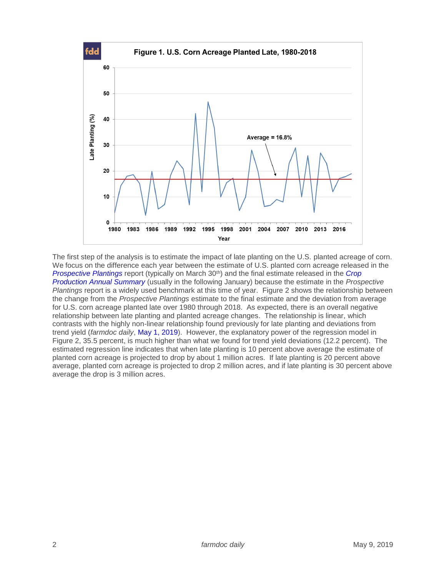

The first step of the analysis is to estimate the impact of late planting on the U.S. planted acreage of corn. We focus on the difference each year between the estimate of U.S. planted corn acreage released in the *[Prospective Plantings](https://usda.library.cornell.edu/concern/publications/x633f100h?locale=en)* report (typically on March 30<sup>th</sup>) and the final estimate released in the *Crop [Production Annual Summary](https://usda.library.cornell.edu/concern/publications/k3569432s?locale=en)* (usually in the following January) because the estimate in the *Prospective Plantings* report is a widely used benchmark at this time of year. Figure 2 shows the relationship between the change from the *Prospective Plantings* estimate to the final estimate and the deviation from average for U.S. corn acreage planted late over 1980 through 2018. As expected, there is an overall negative relationship between late planting and planted acreage changes. The relationship is linear, which contrasts with the highly non-linear relationship found previously for late planting and deviations from trend yield (*farmdoc daily*, [May 1, 2019\)](https://farmdocdaily.illinois.edu/2019/05/late-planting-and-projections-of-the-2019-us-corn-yield.html). However, the explanatory power of the regression model in Figure 2, 35.5 percent, is much higher than what we found for trend yield deviations (12.2 percent). The estimated regression line indicates that when late planting is 10 percent above average the estimate of planted corn acreage is projected to drop by about 1 million acres. If late planting is 20 percent above average, planted corn acreage is projected to drop 2 million acres, and if late planting is 30 percent above average the drop is 3 million acres.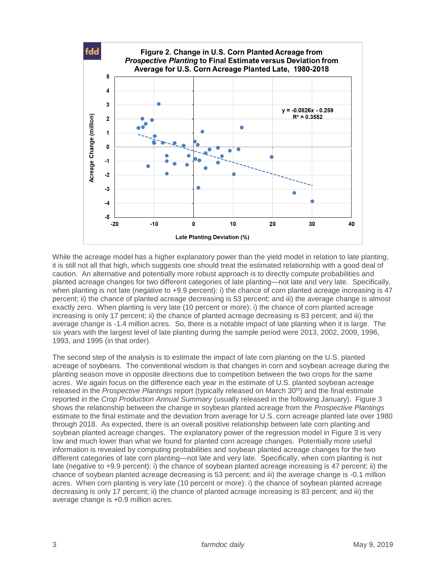

While the acreage model has a higher explanatory power than the yield model in relation to late planting, it is still not all that high, which suggests one should treat the estimated relationship with a good deal of caution. An alternative and potentially more robust approach is to directly compute probabilities and planted acreage changes for two different categories of late planting—not late and very late. Specifically, when planting is not late (negative to +9.9 percent): i) the chance of corn planted acreage increasing is 47 percent; ii) the chance of planted acreage decreasing is 53 percent; and iii) the average change is almost exactly zero. When planting is very late (10 percent or more): i) the chance of corn planted acreage increasing is only 17 percent; ii) the chance of planted acreage decreasing is 83 percent; and iii) the average change is -1.4 million acres. So, there is a notable impact of late planting when it is large. The six years with the largest level of late planting during the sample period were 2013, 2002, 2009, 1996, 1993, and 1995 (in that order).

The second step of the analysis is to estimate the impact of late corn planting on the U.S. planted acreage of soybeans. The conventional wisdom is that changes in corn and soybean acreage during the planting season move in opposite directions due to competition between the two crops for the same acres. We again focus on the difference each year in the estimate of U.S. planted soybean acreage released in the *Prospective Plantings* report (typically released on March 30th) and the final estimate reported in the *Crop Production Annual Summary* (usually released in the following January). Figure 3 shows the relationship between the change in soybean planted acreage from the *Prospective Plantings* estimate to the final estimate and the deviation from average for U.S. corn acreage planted late over 1980 through 2018. As expected, there is an overall positive relationship between late corn planting and soybean planted acreage changes. The explanatory power of the regression model in Figure 3 is very low and much lower than what we found for planted corn acreage changes. Potentially more useful information is revealed by computing probabilities and soybean planted acreage changes for the two different categories of late corn planting—not late and very late. Specifically, when corn planting is not late (negative to +9.9 percent): i) the chance of soybean planted acreage increasing is 47 percent; ii) the chance of soybean planted acreage decreasing is 53 percent; and iii) the average change is -0.1 million acres. When corn planting is very late (10 percent or more): i) the chance of soybean planted acreage decreasing is only 17 percent; ii) the chance of planted acreage increasing is 83 percent; and iii) the average change is +0.9 million acres.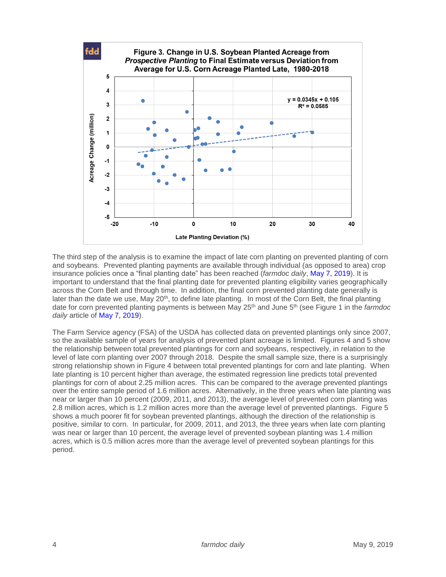

The third step of the analysis is to examine the impact of late corn planting on prevented planting of corn and soybeans. Prevented planting payments are available through individual (as opposed to area) crop insurance policies once a "final planting date" has been reached (*farmdoc daily*, [May 7, 2019\)](https://farmdocdaily.illinois.edu/2019/05/late-planting-decisions-in-2019.html). It is important to understand that the final planting date for prevented planting eligibility varies geographically across the Corn Belt and through time. In addition, the final corn prevented planting date generally is later than the date we use, May 20<sup>th</sup>, to define late planting. In most of the Corn Belt, the final planting date for corn prevented planting payments is between May 25th and June 5th (see Figure 1 in the *farmdoc daily* article of [May 7, 2019\)](https://farmdocdaily.illinois.edu/2019/05/late-planting-decisions-in-2019.html).

The Farm Service agency (FSA) of the USDA has collected data on prevented plantings only since 2007, so the available sample of years for analysis of prevented plant acreage is limited. Figures 4 and 5 show the relationship between total prevented plantings for corn and soybeans, respectively, in relation to the level of late corn planting over 2007 through 2018. Despite the small sample size, there is a surprisingly strong relationship shown in Figure 4 between total prevented plantings for corn and late planting. When late planting is 10 percent higher than average, the estimated regression line predicts total prevented plantings for corn of about 2.25 million acres. This can be compared to the average prevented plantings over the entire sample period of 1.6 million acres. Alternatively, in the three years when late planting was near or larger than 10 percent (2009, 2011, and 2013), the average level of prevented corn planting was 2.8 million acres, which is 1.2 million acres more than the average level of prevented plantings. Figure 5 shows a much poorer fit for soybean prevented plantings, although the direction of the relationship is positive, similar to corn. In particular, for 2009, 2011, and 2013, the three years when late corn planting was near or larger than 10 percent, the average level of prevented soybean planting was 1.4 million acres, which is 0.5 million acres more than the average level of prevented soybean plantings for this period.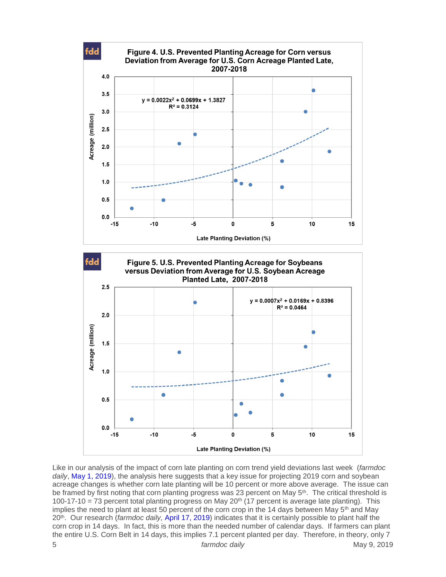

5 *farmdoc daily* May 9, 2019 Like in our analysis of the impact of corn late planting on corn trend yield deviations last week (*farmdoc*  daily, [May 1, 2019\)](https://farmdocdaily.illinois.edu/2019/05/late-planting-and-projections-of-the-2019-us-corn-yield.html), the analysis here suggests that a key issue for projecting 2019 corn and soybean acreage changes is whether corn late planting will be 10 percent or more above average. The issue can be framed by first noting that corn planting progress was 23 percent on May 5<sup>th</sup>. The critical threshold is 100-17-10 = 73 percent total planting progress on May 20<sup>th</sup> (17 percent is average late planting). This implies the need to plant at least 50 percent of the corn crop in the 14 days between May 5<sup>th</sup> and May 20th . Our research (*farmdoc daily,* [April 17, 2019\)](https://farmdocdaily.illinois.edu/2019/04/here-we-go-again-how-many-days-does-it-take-to-plant-the-u-s-corn-crop.html) indicates that it is certainly possible to plant half the corn crop in 14 days. In fact, this is more than the needed number of calendar days. If farmers can plant the entire U.S. Corn Belt in 14 days, this implies 7.1 percent planted per day. Therefore, in theory, only 7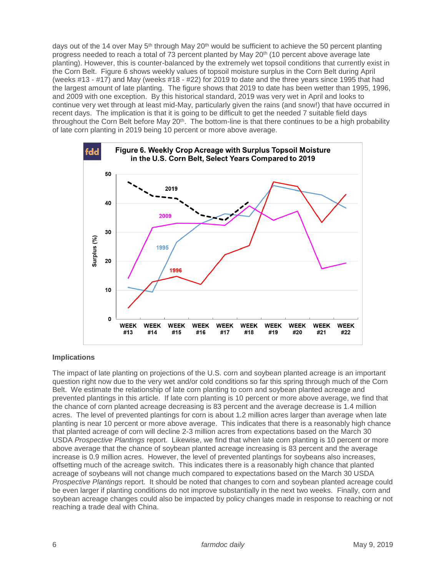days out of the 14 over May  $5<sup>th</sup>$  through May 20<sup>th</sup> would be sufficient to achieve the 50 percent planting progress needed to reach a total of 73 percent planted by May 20<sup>th</sup> (10 percent above average late planting). However, this is counter-balanced by the extremely wet topsoil conditions that currently exist in the Corn Belt. Figure 6 shows weekly values of topsoil moisture surplus in the Corn Belt during April (weeks #13 - #17) and May (weeks #18 - #22) for 2019 to date and the three years since 1995 that had the largest amount of late planting. The figure shows that 2019 to date has been wetter than 1995, 1996, and 2009 with one exception. By this historical standard, 2019 was very wet in April and looks to continue very wet through at least mid-May, particularly given the rains (and snow!) that have occurred in recent days. The implication is that it is going to be difficult to get the needed 7 suitable field days throughout the Corn Belt before May 20<sup>th</sup>. The bottom-line is that there continues to be a high probability of late corn planting in 2019 being 10 percent or more above average.



# **Implications**

The impact of late planting on projections of the U.S. corn and soybean planted acreage is an important question right now due to the very wet and/or cold conditions so far this spring through much of the Corn Belt. We estimate the relationship of late corn planting to corn and soybean planted acreage and prevented plantings in this article. If late corn planting is 10 percent or more above average, we find that the chance of corn planted acreage decreasing is 83 percent and the average decrease is 1.4 million acres. The level of prevented plantings for corn is about 1.2 million acres larger than average when late planting is near 10 percent or more above average. This indicates that there is a reasonably high chance that planted acreage of corn will decline 2-3 million acres from expectations based on the March 30 USDA *Prospective Plantings* report. Likewise, we find that when late corn planting is 10 percent or more above average that the chance of soybean planted acreage increasing is 83 percent and the average increase is 0.9 million acres. However, the level of prevented plantings for soybeans also increases, offsetting much of the acreage switch. This indicates there is a reasonably high chance that planted acreage of soybeans will not change much compared to expectations based on the March 30 USDA *Prospective Plantings* report. It should be noted that changes to corn and soybean planted acreage could be even larger if planting conditions do not improve substantially in the next two weeks. Finally, corn and soybean acreage changes could also be impacted by policy changes made in response to reaching or not reaching a trade deal with China.